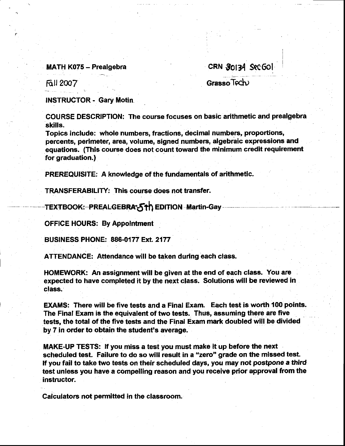## MATH K075 - Prealgebra

cRN \$0t34 Src6o!

fttt 2@7

Grasso Tech

INSTRUCTOR - Gary Motin

COURSE DESCRIPTION: The course focuses on basic arithmetic and prealgebra skills.

Topics include: whole numbers, fractions, decimal numbers, proportions, percents, perimeter, area, volume, signed numbers, algebraic expressions and equations. (This course does not count toward the minimum credit requirement for graduation.)

PREREQUISITE: A knowledge of the fundamentals of arithmetic.

TRANSFERABILITY: This course does not transfer.

TEXTBOOK: PREALGEBRA 5th EDITION Martin-Gay

OFFICE HOURS: By Appolntment

BUSfNESS PHONE: 886-0177 Ext 2177

ATTENDANCE: Attendance will be taken during each class.

HOMEWORK: An assignment will be given at the end of each class. You are expected to have completed it by the next class. Solutions will be reviewed in class.

EXAMS: There will be five tests and a Finat Exam. Each test is worth 100 points. The Final Exam is the equivalent of two tests. Thus, assuming there are five tests, the total of the five tests and the Final Exam mark doubled will be divided by 7 in order to obtain the student's ayerage,

MAKE-UP TESTS: lf you miss a test you must make it up before the next scheduled test. Failure to do so will result in a "zero" grade on the missed test. ff you fail to take two tests on their scheduled days, you may not postpone a third test unless you have a compelling reason and you receive prior approval from the instructor.

Calculators not permitted in the classroom.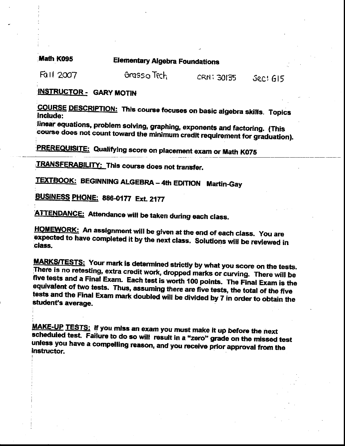Math K095

**Elementary Algebra Foundations** 

Fail 2007

Grassa Tech CRN: 30135

**Sec: GI5** 

**INSTRUCTOR - GARY MOTIN** 

**COURSE DESCRIPTION: This course focuses on basic algebra skills. Topics** include:

linear equations, problem solving, graphing, exponents and factoring. (This course does not count toward the minimum credit requirement for graduation).

**PREREQUISITE:** Qualifying score on placement exam or Math K075

**TRANSFERABILITY: This course does not transfer.** 

**TEXTBOOK: BEGINNING ALGEBRA - 4th EDITION Martin-Gay** 

BUSINESS PHONE: 886-0177 Ext. 2177

**ATTENDANCE:** Attendance will be taken during each class.

HOMEWORK: An assignment will be given at the end of each class. You are expected to have completed it by the next class. Solutions will be reviewed in class.

**MARKS/TESTS:** Your mark is determined strictly by what you score on the tests. There is no retesting, extra credit work, dropped marks or curving. There will be five tests and a Final Exam. Each test is worth 100 points. The Final Exam is the equivalent of two tests. Thus, assuming there are five tests, the total of the five tests and the Final Exam mark doubled will be divided by 7 in order to obtain the student's average.

MAKE-UP TESTS: If you miss an exam you must make it up before the next scheduled test. Failure to do so will result in a "zero" grade on the missed test unless you have a compelling reason, and you receive prior approval from the instructor.